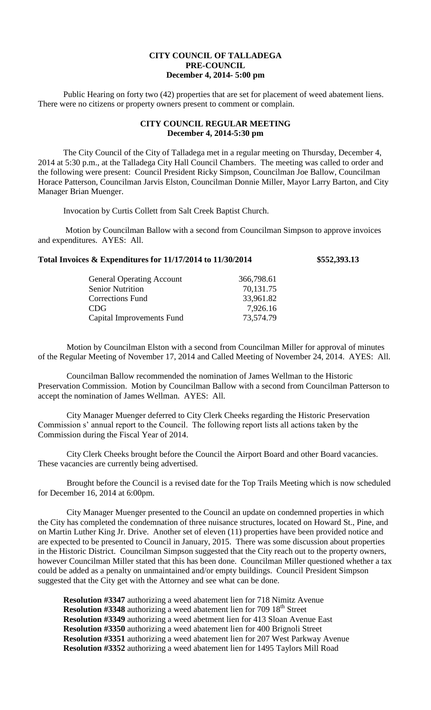## **CITY COUNCIL OF TALLADEGA PRE-COUNCIL December 4, 2014- 5:00 pm**

Public Hearing on forty two (42) properties that are set for placement of weed abatement liens. There were no citizens or property owners present to comment or complain.

## **CITY COUNCIL REGULAR MEETING December 4, 2014-5:30 pm**

The City Council of the City of Talladega met in a regular meeting on Thursday, December 4, 2014 at 5:30 p.m., at the Talladega City Hall Council Chambers. The meeting was called to order and the following were present: Council President Ricky Simpson, Councilman Joe Ballow, Councilman Horace Patterson, Councilman Jarvis Elston, Councilman Donnie Miller, Mayor Larry Barton, and City Manager Brian Muenger.

Invocation by Curtis Collett from Salt Creek Baptist Church.

Motion by Councilman Ballow with a second from Councilman Simpson to approve invoices and expenditures. AYES: All.

## **Total Invoices & Expenditures for 11/17/2014 to 11/30/2014 \$552,393.13**

| <b>General Operating Account</b> | 366,798.61 |
|----------------------------------|------------|
| <b>Senior Nutrition</b>          | 70,131.75  |
| <b>Corrections Fund</b>          | 33,961.82  |
| CDG                              | 7,926.16   |
| Capital Improvements Fund        | 73,574.79  |

Motion by Councilman Elston with a second from Councilman Miller for approval of minutes of the Regular Meeting of November 17, 2014 and Called Meeting of November 24, 2014. AYES: All.

Councilman Ballow recommended the nomination of James Wellman to the Historic Preservation Commission. Motion by Councilman Ballow with a second from Councilman Patterson to accept the nomination of James Wellman. AYES: All.

City Manager Muenger deferred to City Clerk Cheeks regarding the Historic Preservation Commission s' annual report to the Council. The following report lists all actions taken by the Commission during the Fiscal Year of 2014.

City Clerk Cheeks brought before the Council the Airport Board and other Board vacancies. These vacancies are currently being advertised.

Brought before the Council is a revised date for the Top Trails Meeting which is now scheduled for December 16, 2014 at 6:00pm.

City Manager Muenger presented to the Council an update on condemned properties in which the City has completed the condemnation of three nuisance structures, located on Howard St., Pine, and on Martin Luther King Jr. Drive. Another set of eleven (11) properties have been provided notice and are expected to be presented to Council in January, 2015. There was some discussion about properties in the Historic District. Councilman Simpson suggested that the City reach out to the property owners, however Councilman Miller stated that this has been done. Councilman Miller questioned whether a tax could be added as a penalty on unmaintained and/or empty buildings. Council President Simpson suggested that the City get with the Attorney and see what can be done.

**Resolution #3347** authorizing a weed abatement lien for 718 Nimitz Avenue **Resolution #3348** authorizing a weed abatement lien for 709 18<sup>th</sup> Street **Resolution #3349** authorizing a weed abetment lien for 413 Sloan Avenue East **Resolution #3350** authorizing a weed abatement lien for 400 Brignoli Street **Resolution #3351** authorizing a weed abatement lien for 207 West Parkway Avenue **Resolution #3352** authorizing a weed abatement lien for 1495 Taylors Mill Road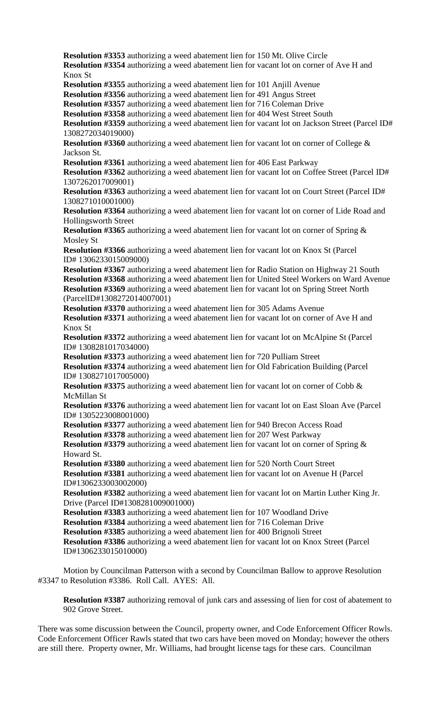**Resolution #3353** authorizing a weed abatement lien for 150 Mt. Olive Circle **Resolution #3354** authorizing a weed abatement lien for vacant lot on corner of Ave H and Knox St **Resolution #3355** authorizing a weed abatement lien for 101 Anjill Avenue **Resolution #3356** authorizing a weed abatement lien for 491 Angus Street **Resolution #3357** authorizing a weed abatement lien for 716 Coleman Drive **Resolution #3358** authorizing a weed abatement lien for 404 West Street South **Resolution #3359** authorizing a weed abatement lien for vacant lot on Jackson Street (Parcel ID# 1308272034019000) **Resolution #3360** authorizing a weed abatement lien for vacant lot on corner of College & Jackson St. **Resolution #3361** authorizing a weed abatement lien for 406 East Parkway **Resolution #3362** authorizing a weed abatement lien for vacant lot on Coffee Street (Parcel ID# 1307262017009001) **Resolution #3363** authorizing a weed abatement lien for vacant lot on Court Street (Parcel ID# 1308271010001000) **Resolution #3364** authorizing a weed abatement lien for vacant lot on corner of Lide Road and Hollingsworth Street **Resolution #3365** authorizing a weed abatement lien for vacant lot on corner of Spring & Mosley St **Resolution #3366** authorizing a weed abatement lien for vacant lot on Knox St (Parcel ID# 1306233015009000) **Resolution #3367** authorizing a weed abatement lien for Radio Station on Highway 21 South **Resolution #3368** authorizing a weed abatement lien for United Steel Workers on Ward Avenue **Resolution #3369** authorizing a weed abatement lien for vacant lot on Spring Street North (ParcelID#1308272014007001) **Resolution #3370** authorizing a weed abatement lien for 305 Adams Avenue **Resolution #3371** authorizing a weed abatement lien for vacant lot on corner of Ave H and Knox St **Resolution #3372** authorizing a weed abatement lien for vacant lot on McAlpine St (Parcel ID# 1308281017034000) **Resolution #3373** authorizing a weed abatement lien for 720 Pulliam Street **Resolution #3374** authorizing a weed abatement lien for Old Fabrication Building (Parcel ID# 1308271017005000) **Resolution #3375** authorizing a weed abatement lien for vacant lot on corner of Cobb & McMillan St **Resolution #3376** authorizing a weed abatement lien for vacant lot on East Sloan Ave (Parcel ID# 1305223008001000) **Resolution #3377** authorizing a weed abatement lien for 940 Brecon Access Road **Resolution #3378** authorizing a weed abatement lien for 207 West Parkway **Resolution #3379** authorizing a weed abatement lien for vacant lot on corner of Spring & Howard St. **Resolution #3380** authorizing a weed abatement lien for 520 North Court Street **Resolution #3381** authorizing a weed abatement lien for vacant lot on Avenue H (Parcel ID#1306233003002000) **Resolution #3382** authorizing a weed abatement lien for vacant lot on Martin Luther King Jr. Drive (Parcel ID#1308281009001000) **Resolution #3383** authorizing a weed abatement lien for 107 Woodland Drive **Resolution #3384** authorizing a weed abatement lien for 716 Coleman Drive **Resolution #3385** authorizing a weed abatement lien for 400 Brignoli Street **Resolution #3386** authorizing a weed abatement lien for vacant lot on Knox Street (Parcel ID#1306233015010000) Motion by Councilman Patterson with a second by Councilman Ballow to approve Resolution #3347 to Resolution #3386. Roll Call. AYES: All.

**Resolution #3387** authorizing removal of junk cars and assessing of lien for cost of abatement to 902 Grove Street.

There was some discussion between the Council, property owner, and Code Enforcement Officer Rowls. Code Enforcement Officer Rawls stated that two cars have been moved on Monday; however the others are still there. Property owner, Mr. Williams, had brought license tags for these cars. Councilman